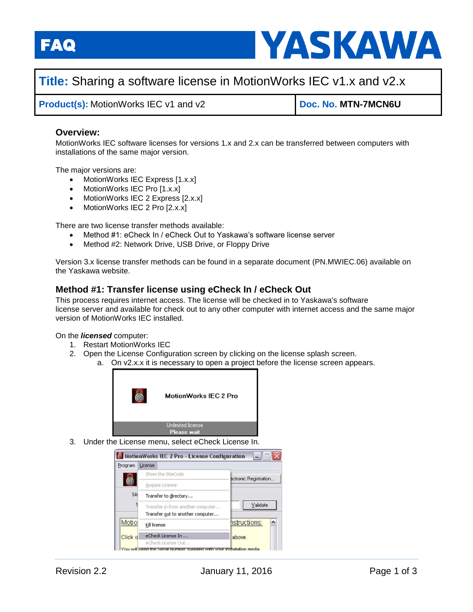FAQ



# **Title:** Sharing a software license in MotionWorks IEC v1.x and v2.x

**Product(s):** MotionWorks IEC v1 and v2 **Doc. No. MTN-7MCN6U** 

### **Overview:**

MotionWorks IEC software licenses for versions 1.x and 2.x can be transferred between computers with installations of the same major version.

The major versions are:

- MotionWorks IEC Express [1.x.x]
- MotionWorks IEC Pro [1.x.x]
- MotionWorks IEC 2 Express [2.x.x]
- MotionWorks IEC 2 Pro [2.x.x]

There are two license transfer methods available:

- Method #1: eCheck In / eCheck Out to Yaskawa's software license server
- Method #2: Network Drive, USB Drive, or Floppy Drive

Version 3.x license transfer methods can be found in a separate document (PN.MWIEC.06) available on the Yaskawa website.

### **Method #1: Transfer license using eCheck In / eCheck Out**

This process requires internet access. The license will be checked in to Yaskawa's software license server and available for check out to any other computer with internet access and the same major version of MotionWorks IEC installed.

On the *licensed* computer:

- 1. Restart MotionWorks IEC
- 2. Open the License Configuration screen by clicking on the license splash screen.
	- a. On v2.x.x it is necessary to open a project before the license screen appears.



3. Under the License menu, select eCheck License In.

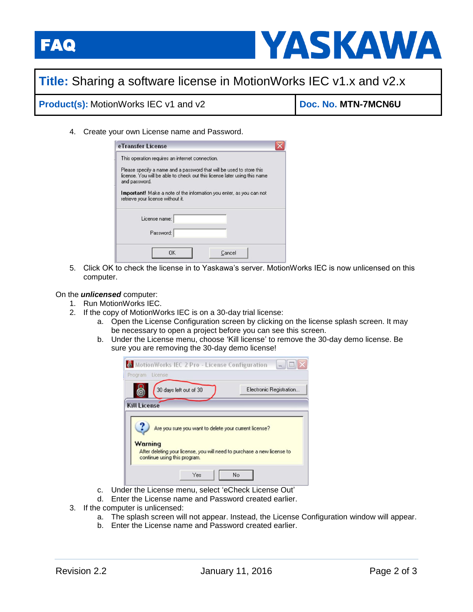



# **Title:** Sharing a software license in MotionWorks IEC v1.x and v2.x

## **Product(s):** MotionWorks IEC v1 and v2 **Doc. No. MTN-7MCN6U**

4. Create your own License name and Password.

| eTransfer License                                                                                                                                                  |  |
|--------------------------------------------------------------------------------------------------------------------------------------------------------------------|--|
| This operation requires an internet connection.                                                                                                                    |  |
| Please specify a name and a password that will be used to store this<br>license. You will be able to check out this license later using this name<br>and password. |  |
| <b>Important!</b> Make a note of the information you enter, as you can not<br>retrieve your license without it.                                                    |  |
| License name:                                                                                                                                                      |  |
| Password:                                                                                                                                                          |  |
| ΩK<br>Cancel                                                                                                                                                       |  |

5. Click OK to check the license in to Yaskawa's server. MotionWorks IEC is now unlicensed on this computer.

#### On the *unlicensed* computer:

- 1. Run MotionWorks IEC.
- 2. If the copy of MotionWorks IEC is on a 30-day trial license:
	- a. Open the License Configuration screen by clicking on the license splash screen. It may be necessary to open a project before you can see this screen.
	- b. Under the License menu, choose 'Kill license' to remove the 30-day demo license. Be sure you are removing the 30-day demo license!



- c. Under the License menu, select 'eCheck License Out'
- d. Enter the License name and Password created earlier.
- 3. If the computer is unlicensed:
	- a. The splash screen will not appear. Instead, the License Configuration window will appear.
	- b. Enter the License name and Password created earlier.